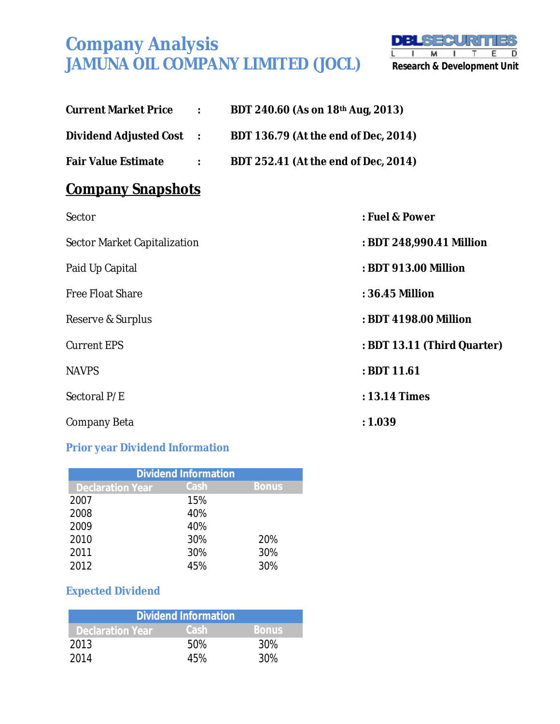

| <b>Current Market Price 2018 : 2018</b> | BDT 240.60 (As on 18th Aug, 2013)                             |
|-----------------------------------------|---------------------------------------------------------------|
|                                         | Dividend Adjusted Cost : BDT 136.79 (At the end of Dec, 2014) |
|                                         | Fair Value Estimate : BDT 252.41 (At the end of Dec, 2014)    |
| <u>Company Snapshots</u>                |                                                               |
| Sector                                  | : Fuel & Power                                                |
| Sector Market Capitalization            | : BDT 248,990.41 Million                                      |
| Paid Up Capital                         | : BDT 913.00 Million                                          |
| <b>Free Float Share</b>                 | : 36.45 Million                                               |
| Reserve & Surplus                       | : BDT 4198.00 Million                                         |
| <b>Current EPS</b>                      | : BDT 13.11 (Third Quarter)                                   |
| <b>NAVPS</b>                            | : BDT 11.61                                                   |
| Sectoral P/E                            | : 13.14 Times                                                 |
| Company Beta                            | : 1.039                                                       |

#### **Prior year Dividend Information**

|                         | <b>Dividend Information</b> |              |
|-------------------------|-----------------------------|--------------|
| <b>Declaration Year</b> | Cash                        | <b>Bonus</b> |
| 2007                    | 15%                         |              |
| 2008                    | 40%                         |              |
| 2009                    | 40%                         |              |
| 2010                    | 30%                         | 20%          |
| 2011                    | 30%                         | 30%          |
| 2012                    | 45%                         | 30%          |

### **Expected Dividend**

|                         | <b>Dividend Information</b> |              |
|-------------------------|-----------------------------|--------------|
| <b>Declaration Year</b> | Cash                        | <b>Bonus</b> |
| 2013                    | .50%                        | 30%          |
| 2014                    | 45%                         | 30%          |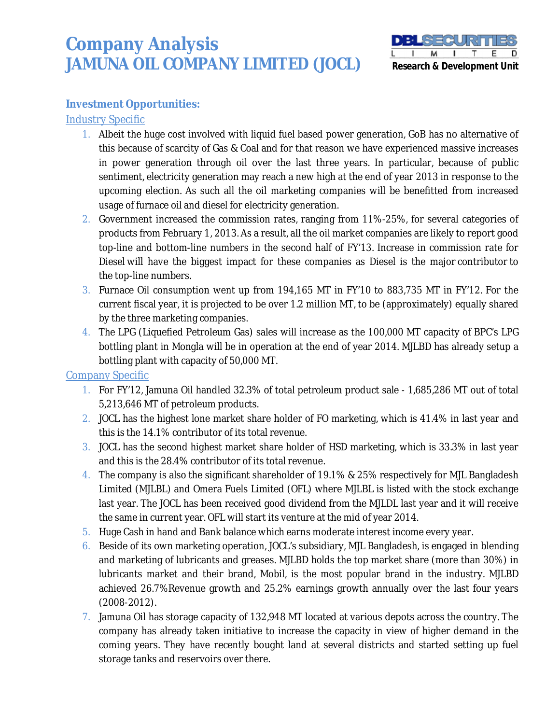

#### **Investment Opportunities:**

#### **Industry Specific**

- 1. Albeit the huge cost involved with liquid fuel based power generation, GoB has no alternative of this because of scarcity of Gas & Coal and for that reason we have experienced massive increases in power generation through oil over the last three years. In particular, because of public sentiment, electricity generation may reach a new high at the end of year 2013 in response to the upcoming election. As such all the oil marketing companies will be benefitted from increased usage of furnace oil and diesel for electricity generation.
- 2. Government increased the commission rates, ranging from 11%-25%, for several categories of products from February 1, 2013. As a result, all the oil market companies are likely to report good top-line and bottom-line numbers in the second half of FY'13. Increase in commission rate for Diesel will have the biggest impact for these companies as Diesel is the major contributor to the top-line numbers.
- 3. Furnace Oil consumption went up from 194,165 MT in FY'10 to 883,735 MT in FY'12. For the current fiscal year, it is projected to be over 1.2 million MT, to be (approximately) equally shared by the three marketing companies.
- 4. The LPG (Liquefied Petroleum Gas) sales will increase as the 100,000 MT capacity of BPC's LPG bottling plant in Mongla will be in operation at the end of year 2014. MJLBD has already setup a bottling plant with capacity of 50,000 MT.

#### Company Specific

- 1. For FY'12, Jamuna Oil handled 32.3% of total petroleum product sale 1,685,286 MT out of total 5,213,646 MT of petroleum products.
- 2. JOCL has the highest lone market share holder of FO marketing, which is 41.4% in last year and this is the 14.1% contributor of its total revenue.
- 3. JOCL has the second highest market share holder of HSD marketing, which is 33.3% in last year and this is the 28.4% contributor of its total revenue.
- 4. The company is also the significant shareholder of 19.1% & 25% respectively for MJL Bangladesh Limited (MJLBL) and Omera Fuels Limited (OFL) where MJLBL is listed with the stock exchange last year. The JOCL has been received good dividend from the MJLDL last year and it will receive the same in current year. OFL will start its venture at the mid of year 2014.
- 5. Huge Cash in hand and Bank balance which earns moderate interest income every year.
- 6. Beside of its own marketing operation, JOCL's subsidiary, MJL Bangladesh, is engaged in blending and marketing of lubricants and greases. MJLBD holds the top market share (more than 30%) in lubricants market and their brand, Mobil, is the most popular brand in the industry. MJLBD achieved 26.7%Revenue growth and 25.2% earnings growth annually over the last four years (2008-2012).
- 7. Jamuna Oil has storage capacity of 132,948 MT located at various depots across the country. The company has already taken initiative to increase the capacity in view of higher demand in the coming years. They have recently bought land at several districts and started setting up fuel storage tanks and reservoirs over there.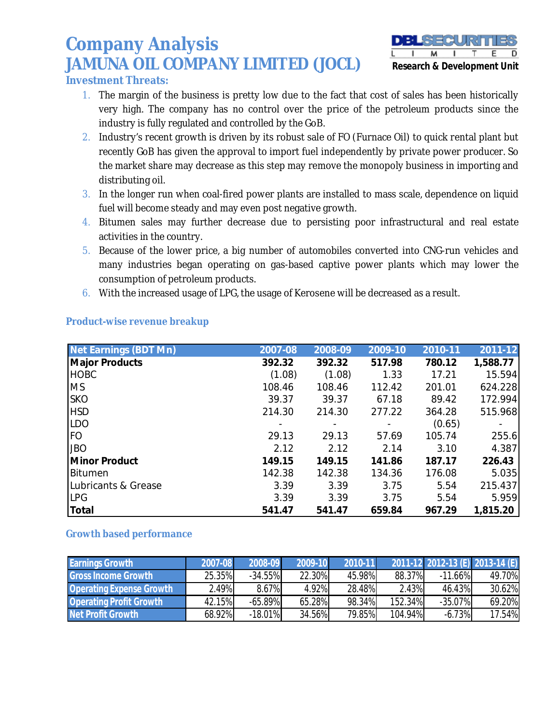

**Investment Threats:**

- 1. The margin of the business is pretty low due to the fact that cost of sales has been historically very high. The company has no control over the price of the petroleum products since the industry is fully regulated and controlled by the GoB.
- 2. Industry's recent growth is driven by its robust sale of FO (Furnace Oil) to quick rental plant but recently GoB has given the approval to import fuel independently by private power producer. So the market share may decrease as this step may remove the monopoly business in importing and distributing oil.
- 3. In the longer run when coal-fired power plants are installed to mass scale, dependence on liquid fuel will become steady and may even post negative growth.
- 4. Bitumen sales may further decrease due to persisting poor infrastructural and real estate activities in the country.
- 5. Because of the lower price, a big number of automobiles converted into CNG-run vehicles and many industries began operating on gas-based captive power plants which may lower the consumption of petroleum products.
- 6. With the increased usage of LPG, the usage of Kerosene will be decreased as a result.

| <b>Net Earnings (BDT Mn)</b> | 2007-08 | 2008-09 | 2009-10 | 2010-11 | 2011-12  |
|------------------------------|---------|---------|---------|---------|----------|
| <b>Major Products</b>        | 392.32  | 392.32  | 517.98  | 780.12  | 1,588.77 |
| <b>HOBC</b>                  | (1.08)  | (1.08)  | 1.33    | 17.21   | 15.594   |
| <b>MS</b>                    | 108.46  | 108.46  | 112.42  | 201.01  | 624.228  |
| <b>SKO</b>                   | 39.37   | 39.37   | 67.18   | 89.42   | 172.994  |
| <b>HSD</b>                   | 214.30  | 214.30  | 277.22  | 364.28  | 515.968  |
| <b>LDO</b>                   |         |         |         | (0.65)  |          |
| <b>FO</b>                    | 29.13   | 29.13   | 57.69   | 105.74  | 255.6    |
| <b>JBO</b>                   | 2.12    | 2.12    | 2.14    | 3.10    | 4.387    |
| <b>Minor Product</b>         | 149.15  | 149.15  | 141.86  | 187.17  | 226.43   |
| Bitumen                      | 142.38  | 142.38  | 134.36  | 176.08  | 5.035    |
| Lubricants & Grease          | 3.39    | 3.39    | 3.75    | 5.54    | 215.437  |
| <b>LPG</b>                   | 3.39    | 3.39    | 3.75    | 5.54    | 5.959    |
| <b>Total</b>                 | 541.47  | 541.47  | 659.84  | 967.29  | 1,815.20 |

#### **Product-wise revenue breakup**

#### **Growth based performance**

| <b>Earnings Growth</b>          | 2007-08 | 2008-09    | 2009-10 | 2010-11 |         | 2011-12 2012-13 (E) 2013-14 (E) |        |
|---------------------------------|---------|------------|---------|---------|---------|---------------------------------|--------|
| <b>Gross Income Growth</b>      | 25.35%  | $-34.55\%$ | 22.30%  | 45.98%  | 88.37%  | $-11.66\%$                      | 49.70% |
| <b>Operating Expense Growth</b> | 2.49%   | 8.67%      | 4.92%   | 28.48%  | 2.43%   | 46.43%                          | 30.62% |
| <b>Operating Profit Growth</b>  | 42.15%  | $-65.89\%$ | 65.28%  | 98.34%  | 152.34% | $-35.07%$                       | 69.20% |
| <b>Net Profit Growth</b>        | 68.92%  | $-18.01\%$ | 34.56%  | 79.85%  | 104.94% | $-6.73%$                        | 17.54% |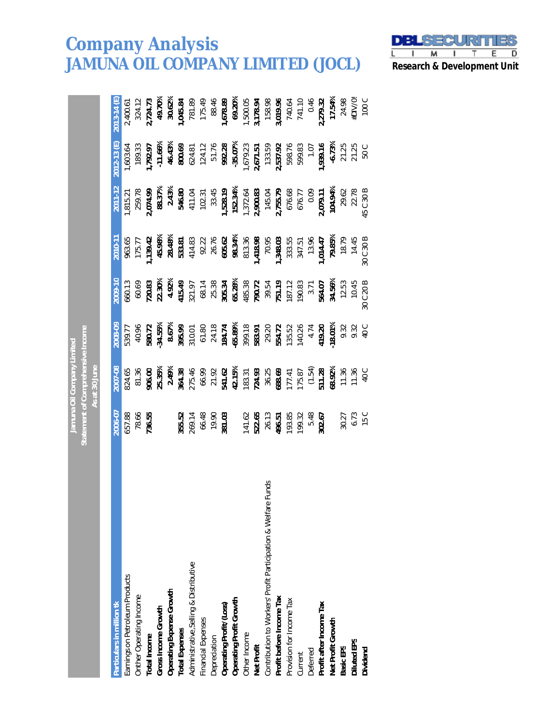

|                                                                  |                                                                       | Jamuna Oil Company Limited                                                                                                                                                                                                     |                                                                                                                                                                                                                                                                                |                                                                                                                                                                                                                                                                                                                                                                                                        |        |         |                                                                                                                                                                                                                             |                                                                                                                                                                                                              |
|------------------------------------------------------------------|-----------------------------------------------------------------------|--------------------------------------------------------------------------------------------------------------------------------------------------------------------------------------------------------------------------------|--------------------------------------------------------------------------------------------------------------------------------------------------------------------------------------------------------------------------------------------------------------------------------|--------------------------------------------------------------------------------------------------------------------------------------------------------------------------------------------------------------------------------------------------------------------------------------------------------------------------------------------------------------------------------------------------------|--------|---------|-----------------------------------------------------------------------------------------------------------------------------------------------------------------------------------------------------------------------------|--------------------------------------------------------------------------------------------------------------------------------------------------------------------------------------------------------------|
|                                                                  | Statement of Comprehensive Income                                     | As at 30 June                                                                                                                                                                                                                  |                                                                                                                                                                                                                                                                                |                                                                                                                                                                                                                                                                                                                                                                                                        |        |         |                                                                                                                                                                                                                             |                                                                                                                                                                                                              |
| Particulars in million tk                                        | 2006-07                                                               | 2007-08                                                                                                                                                                                                                        | 2008-09                                                                                                                                                                                                                                                                        | 2009-1                                                                                                                                                                                                                                                                                                                                                                                                 | 2010-1 | 2011-12 | 2012-13 (E)                                                                                                                                                                                                                 | 2013-14                                                                                                                                                                                                      |
| Earnings on Petroleum Products                                   |                                                                       |                                                                                                                                                                                                                                |                                                                                                                                                                                                                                                                                |                                                                                                                                                                                                                                                                                                                                                                                                        |        |         |                                                                                                                                                                                                                             |                                                                                                                                                                                                              |
| <b>Onther Operating Income</b>                                   | 657.88<br>78.66<br><b>736.55</b>                                      | $24.65$ $24.69$ $25.89$ $25.89$ $26.89$ $27.89$ $27.89$ $27.89$ $27.89$ $27.89$ $27.89$ $27.89$ $27.89$ $27.89$ $27.89$ $27.89$ $27.89$ $27.89$ $27.89$ $27.89$ $27.89$ $27.89$ $27.89$ $27.89$ $27.89$ $27.89$ $27.89$ $27.8$ | $77.7$<br>$40.96$<br>$80.72$<br>$80.73$<br>$80.73$<br>$80.75$<br>$80.75$<br>$80.75$<br>$80.75$<br>$80.75$<br>$80.75$<br>$80.75$<br>$80.75$<br>$80.75$<br>$80.75$<br>$80.75$<br>$80.75$<br>$80.75$<br>$80.75$<br>$80.75$<br>$80.75$<br>$80.75$<br>$80.75$<br>$80.75$<br>$80.75$ | 060.13<br><b>20.83</b><br><b>20.83</b><br><b>20.83</b><br><b>20.83</b><br><b>20.93</b><br><b>20.93</b><br><b>20.93</b><br><b>20.93</b><br><b>20.93</b><br><b>20.93</b><br><b>20.93</b><br><b>20.93</b><br><b>20.94</b><br><b>20.94</b><br><b>20.94</b><br><b>20.94</b><br><b>20.94</b><br><b>20.94</b><br><b>20.94</b><br><b>20.94</b><br><b>20.94</b><br><b>20.94</b><br><b>20.94</b><br><b>20.94</b> |        |         | $1,603.64$ $1,603.64$ $1,792.97$ $1,792.98$ $1,792.89$ $1,792.89$ $1,792.89$ $1,792.89$ $1,792.89$ $1,792.89$ $1,792.89$ $1,792.89$ $1,792.89$ $1,792.89$ $1,792.89$ $1,792.89$ $1,792.89$ $1,792.89$ $1,792.89$ $1,792.89$ | 2,400.61<br>2,724.73<br>2,724.73<br>3,0.62%<br>1,045.84<br>1,500.05<br>1,500.05<br>1,500.99 96.84<br>1,500.05<br>7,40.64<br>1,500.05<br>7,279.32<br>2,279.32<br>2,279.83<br>2,279.83<br>2,279.83<br>2,279.83 |
| <b>Total Income</b>                                              |                                                                       |                                                                                                                                                                                                                                |                                                                                                                                                                                                                                                                                |                                                                                                                                                                                                                                                                                                                                                                                                        |        |         |                                                                                                                                                                                                                             |                                                                                                                                                                                                              |
| Gross Income Growth                                              |                                                                       |                                                                                                                                                                                                                                |                                                                                                                                                                                                                                                                                |                                                                                                                                                                                                                                                                                                                                                                                                        |        |         |                                                                                                                                                                                                                             |                                                                                                                                                                                                              |
|                                                                  |                                                                       |                                                                                                                                                                                                                                |                                                                                                                                                                                                                                                                                |                                                                                                                                                                                                                                                                                                                                                                                                        |        |         |                                                                                                                                                                                                                             |                                                                                                                                                                                                              |
| Operating Expense Growth<br>Total Expenses                       |                                                                       |                                                                                                                                                                                                                                |                                                                                                                                                                                                                                                                                |                                                                                                                                                                                                                                                                                                                                                                                                        |        |         |                                                                                                                                                                                                                             |                                                                                                                                                                                                              |
| Administrative, Selling & Distributive                           |                                                                       |                                                                                                                                                                                                                                |                                                                                                                                                                                                                                                                                |                                                                                                                                                                                                                                                                                                                                                                                                        |        |         |                                                                                                                                                                                                                             |                                                                                                                                                                                                              |
| inancial Expenses                                                | <b>355.52<br/>269.14</b><br>66.48<br>19.90<br><b>181.03</b>           |                                                                                                                                                                                                                                |                                                                                                                                                                                                                                                                                |                                                                                                                                                                                                                                                                                                                                                                                                        |        |         |                                                                                                                                                                                                                             |                                                                                                                                                                                                              |
| <b>Depreciation</b>                                              |                                                                       |                                                                                                                                                                                                                                |                                                                                                                                                                                                                                                                                |                                                                                                                                                                                                                                                                                                                                                                                                        |        |         |                                                                                                                                                                                                                             |                                                                                                                                                                                                              |
| Operating Profit/(Loss)                                          |                                                                       |                                                                                                                                                                                                                                |                                                                                                                                                                                                                                                                                |                                                                                                                                                                                                                                                                                                                                                                                                        |        |         |                                                                                                                                                                                                                             |                                                                                                                                                                                                              |
|                                                                  |                                                                       |                                                                                                                                                                                                                                |                                                                                                                                                                                                                                                                                |                                                                                                                                                                                                                                                                                                                                                                                                        |        |         |                                                                                                                                                                                                                             |                                                                                                                                                                                                              |
| <b>Operating Profit Growth</b><br>Other Income                   | 141.62<br>5 <b>22.65</b><br>78.51<br>79.85<br>19.80<br>19.80<br>19.80 |                                                                                                                                                                                                                                |                                                                                                                                                                                                                                                                                |                                                                                                                                                                                                                                                                                                                                                                                                        |        |         |                                                                                                                                                                                                                             |                                                                                                                                                                                                              |
| <b>Net Profit</b>                                                |                                                                       |                                                                                                                                                                                                                                |                                                                                                                                                                                                                                                                                |                                                                                                                                                                                                                                                                                                                                                                                                        |        |         |                                                                                                                                                                                                                             |                                                                                                                                                                                                              |
| Funds<br>Contribution to Workers' Profit Participation & Welfare |                                                                       |                                                                                                                                                                                                                                |                                                                                                                                                                                                                                                                                |                                                                                                                                                                                                                                                                                                                                                                                                        |        |         |                                                                                                                                                                                                                             |                                                                                                                                                                                                              |
| Profit before Income Tax                                         |                                                                       |                                                                                                                                                                                                                                |                                                                                                                                                                                                                                                                                |                                                                                                                                                                                                                                                                                                                                                                                                        |        |         |                                                                                                                                                                                                                             |                                                                                                                                                                                                              |
| Provision for Income Tax                                         |                                                                       |                                                                                                                                                                                                                                |                                                                                                                                                                                                                                                                                |                                                                                                                                                                                                                                                                                                                                                                                                        |        |         |                                                                                                                                                                                                                             |                                                                                                                                                                                                              |
| Current                                                          |                                                                       |                                                                                                                                                                                                                                |                                                                                                                                                                                                                                                                                |                                                                                                                                                                                                                                                                                                                                                                                                        |        |         |                                                                                                                                                                                                                             |                                                                                                                                                                                                              |
| Deferred                                                         |                                                                       |                                                                                                                                                                                                                                |                                                                                                                                                                                                                                                                                |                                                                                                                                                                                                                                                                                                                                                                                                        |        |         |                                                                                                                                                                                                                             |                                                                                                                                                                                                              |
| Profit after Income Tax                                          |                                                                       |                                                                                                                                                                                                                                |                                                                                                                                                                                                                                                                                |                                                                                                                                                                                                                                                                                                                                                                                                        |        |         |                                                                                                                                                                                                                             |                                                                                                                                                                                                              |
| Net Profit Growth                                                |                                                                       |                                                                                                                                                                                                                                |                                                                                                                                                                                                                                                                                |                                                                                                                                                                                                                                                                                                                                                                                                        |        |         |                                                                                                                                                                                                                             |                                                                                                                                                                                                              |
| Basic EPS                                                        |                                                                       |                                                                                                                                                                                                                                |                                                                                                                                                                                                                                                                                |                                                                                                                                                                                                                                                                                                                                                                                                        |        |         |                                                                                                                                                                                                                             |                                                                                                                                                                                                              |
| Diluted EPS                                                      | $30.27$<br>$6.73$<br>$15 C$                                           |                                                                                                                                                                                                                                |                                                                                                                                                                                                                                                                                |                                                                                                                                                                                                                                                                                                                                                                                                        |        |         |                                                                                                                                                                                                                             |                                                                                                                                                                                                              |
| <b>Dividend</b>                                                  |                                                                       |                                                                                                                                                                                                                                |                                                                                                                                                                                                                                                                                |                                                                                                                                                                                                                                                                                                                                                                                                        |        |         |                                                                                                                                                                                                                             |                                                                                                                                                                                                              |
|                                                                  |                                                                       |                                                                                                                                                                                                                                |                                                                                                                                                                                                                                                                                |                                                                                                                                                                                                                                                                                                                                                                                                        |        |         |                                                                                                                                                                                                                             |                                                                                                                                                                                                              |